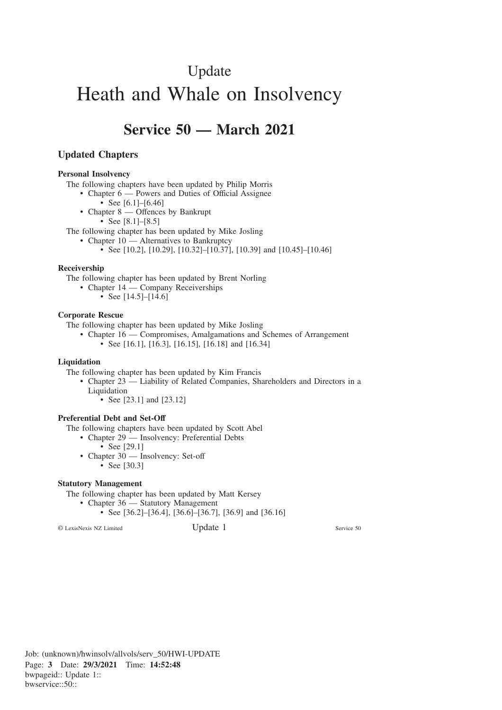## Update

# Heath and Whale on Insolvency

## **Service 50 — March 2021**

#### **Updated Chapters**

#### **Personal Insolvency**

The following chapters have been updated by Philip Morris

- Chapter 6 Powers and Duties of Official Assignee
	- See  $[6.1]$ – $[6.46]$
- Chapter 8 Offences by Bankrupt • See [8.1]–[8.5]

The following chapter has been updated by Mike Josling

- Chapter 10 Alternatives to Bankruptcy
	- See [10.2], [10.29], [10.32]–[10.37], [10.39] and [10.45]–[10.46]

#### **Receivership**

The following chapter has been updated by Brent Norling

- Chapter 14 Company Receiverships
	- See [14.5]–[14.6]

#### **Corporate Rescue**

The following chapter has been updated by Mike Josling

• Chapter 16 — Compromises, Amalgamations and Schemes of Arrangement • See [16.1], [16.3], [16.15], [16.18] and [16.34]

#### **Liquidation**

The following chapter has been updated by Kim Francis

- Chapter 23 Liability of Related Companies, Shareholders and Directors in a **Liquidation** 
	- See [23.1] and [23.12]

#### **Preferential Debt and Set-Off**

The following chapters have been updated by Scott Abel

- Chapter 29 Insolvency: Preferential Debts
	- See [29.1]
	- Chapter 30 Insolvency: Set-off
		- See [30.3]

#### **Statutory Management**

The following chapter has been updated by Matt Kersey

- Chapter 36 Statutory Management
	- See [36.2]–[36.4], [36.6]–[36.7], [36.9] and [36.16]

© LexisNexis NZ Limited Update 1 Service 50